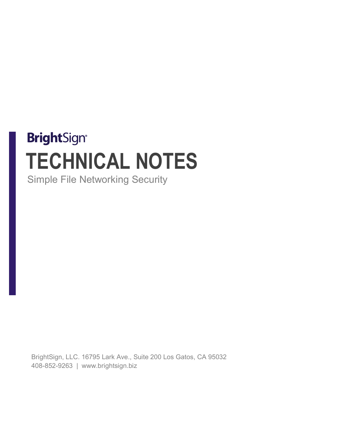## **BrightSign® TECHNICAL NOTES** Simple File Networking Security

BrightSign, LLC. 16795 Lark Ave., Suite 200 Los Gatos, CA 95032 408-852-9263 | www.brightsign.biz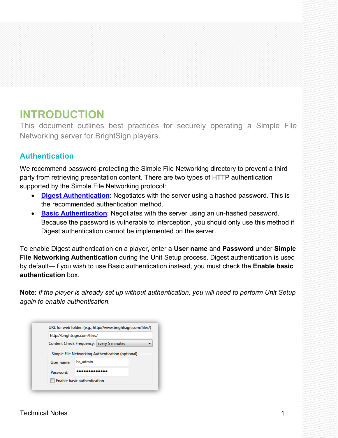## **INTRODUCTION**

This document outlines best practices for securely operating a Simple File Networking server for BrightSign players.

## **Authentication**

We recommend password-protecting the Simple File Networking directory to prevent a third party from retrieving presentation content. There are two types of HTTP authentication supported by the Simple File Networking protocol:

- **Digest [Authentication](https://en.wikipedia.org/wiki/Digest_access_authentication)**: Negotiates with the server using a hashed password. This is the recommended authentication method.
- **[Basic Authentication](https://en.wikipedia.org/wiki/Basic_access_authentication)**: Negotiates with the server using an un-hashed password. Because the password is vulnerable to interception, you should only use this method if Digest authentication cannot be implemented on the server.

To enable Digest authentication on a player, enter a **User name** and **Password** under **Simple File Networking Authentication** during the Unit Setup process. Digest authentication is used by default—if you wish to use Basic authentication instead, you must check the **Enable basic authentication** box.

**Note**: *If the player is already set up without authentication, you will need to perform Unit Setup again to enable authentication.*

|            | URL for web folder: (e.g., http://www.brightsign.com/files/) |
|------------|--------------------------------------------------------------|
|            | http://brightsign.com/files/                                 |
|            | Content Check Frequency: Every 5 minutes                     |
|            | Simple File Networking Authentication (optional)             |
| User name: | bs admin                                                     |
| Password:  |                                                              |
|            | Enable basic authentication                                  |